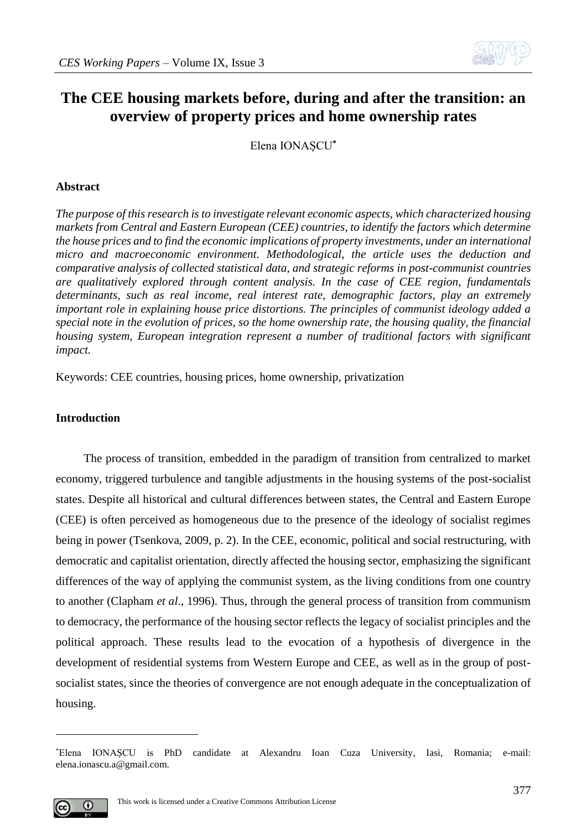

# **The CEE housing markets before, during and after the transition: an overview of property prices and home ownership rates**

Elena IONAȘCU**\***

#### **Abstract**

*The purpose of this research is to investigate relevant economic aspects, which characterized housing markets from Central and Eastern European (CEE) countries, to identify the factors which determine the house prices and to find the economic implications of property investments, under an international micro and macroeconomic environment. Methodological, the article uses the deduction and comparative analysis of collected statistical data, and strategic reforms in post-communist countries are qualitatively explored through content analysis. In the case of CEE region, fundamentals determinants, such as real income, real interest rate, demographic factors, play an extremely important role in explaining house price distortions. The principles of communist ideology added a special note in the evolution of prices, so the home ownership rate, the housing quality, the financial housing system, European integration represent a number of traditional factors with significant impact.*

Keywords: CEE countries, housing prices, home ownership, privatization

#### **Introduction**

The process of transition, embedded in the paradigm of transition from centralized to market economy, triggered turbulence and tangible adjustments in the housing systems of the post-socialist states. Despite all historical and cultural differences between states, the Central and Eastern Europe (CEE) is often perceived as homogeneous due to the presence of the ideology of socialist regimes being in power (Tsenkova, 2009, p. 2). In the CEE, economic, political and social restructuring, with democratic and capitalist orientation, directly affected the housing sector, emphasizing the significant differences of the way of applying the communist system, as the living conditions from one country to another (Clapham *et al*., 1996). Thus, through the general process of transition from communism to democracy, the performance of the housing sector reflects the legacy of socialist principles and the political approach. These results lead to the evocation of a hypothesis of divergence in the development of residential systems from Western Europe and CEE, as well as in the group of postsocialist states, since the theories of convergence are not enough adequate in the conceptualization of housing.

<sup>\*</sup>Elena IONAȘCU is PhD candidate at Alexandru Ioan Cuza University, Iasi, Romania; e-mail: elena.ionascu.a@gmail.com.



<u>.</u>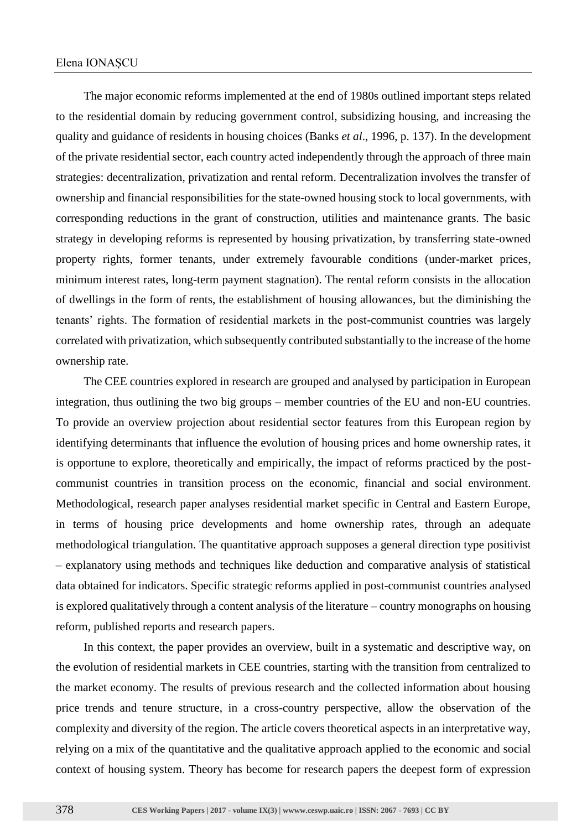The major economic reforms implemented at the end of 1980s outlined important steps related to the residential domain by reducing government control, subsidizing housing, and increasing the quality and guidance of residents in housing choices (Banks *et al*., 1996, p. 137). In the development of the private residential sector, each country acted independently through the approach of three main strategies: decentralization, privatization and rental reform. Decentralization involves the transfer of ownership and financial responsibilities for the state-owned housing stock to local governments, with corresponding reductions in the grant of construction, utilities and maintenance grants. The basic strategy in developing reforms is represented by housing privatization, by transferring state-owned property rights, former tenants, under extremely favourable conditions (under-market prices, minimum interest rates, long-term payment stagnation). The rental reform consists in the allocation of dwellings in the form of rents, the establishment of housing allowances, but the diminishing the tenants' rights. The formation of residential markets in the post-communist countries was largely correlated with privatization, which subsequently contributed substantially to the increase of the home ownership rate.

The CEE countries explored in research are grouped and analysed by participation in European integration, thus outlining the two big groups – member countries of the EU and non-EU countries. To provide an overview projection about residential sector features from this European region by identifying determinants that influence the evolution of housing prices and home ownership rates, it is opportune to explore, theoretically and empirically, the impact of reforms practiced by the postcommunist countries in transition process on the economic, financial and social environment. Methodological, research paper analyses residential market specific in Central and Eastern Europe, in terms of housing price developments and home ownership rates, through an adequate methodological triangulation. The quantitative approach supposes a general direction type positivist – explanatory using methods and techniques like deduction and comparative analysis of statistical data obtained for indicators. Specific strategic reforms applied in post-communist countries analysed is explored qualitatively through a content analysis of the literature – country monographs on housing reform, published reports and research papers.

In this context, the paper provides an overview, built in a systematic and descriptive way, on the evolution of residential markets in CEE countries, starting with the transition from centralized to the market economy. The results of previous research and the collected information about housing price trends and tenure structure, in a cross-country perspective, allow the observation of the complexity and diversity of the region. The article covers theoretical aspects in an interpretative way, relying on a mix of the quantitative and the qualitative approach applied to the economic and social context of housing system. Theory has become for research papers the deepest form of expression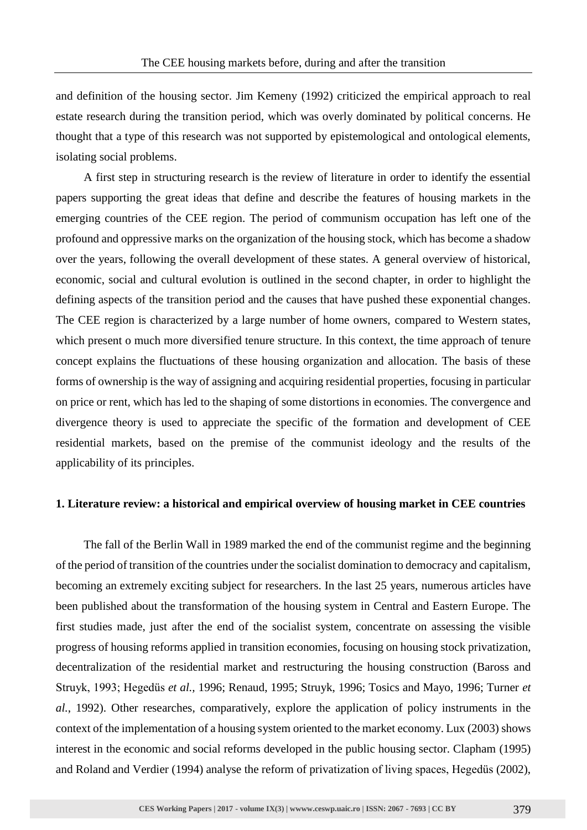and definition of the housing sector. Jim Kemeny (1992) criticized the empirical approach to real estate research during the transition period, which was overly dominated by political concerns. He thought that a type of this research was not supported by epistemological and ontological elements, isolating social problems.

A first step in structuring research is the review of literature in order to identify the essential papers supporting the great ideas that define and describe the features of housing markets in the emerging countries of the CEE region. The period of communism occupation has left one of the profound and oppressive marks on the organization of the housing stock, which has become a shadow over the years, following the overall development of these states. A general overview of historical, economic, social and cultural evolution is outlined in the second chapter, in order to highlight the defining aspects of the transition period and the causes that have pushed these exponential changes. The CEE region is characterized by a large number of home owners, compared to Western states, which present o much more diversified tenure structure. In this context, the time approach of tenure concept explains the fluctuations of these housing organization and allocation. The basis of these forms of ownership is the way of assigning and acquiring residential properties, focusing in particular on price or rent, which has led to the shaping of some distortions in economies. The convergence and divergence theory is used to appreciate the specific of the formation and development of CEE residential markets, based on the premise of the communist ideology and the results of the applicability of its principles.

#### **1. Literature review: a historical and empirical overview of housing market in CEE countries**

The fall of the Berlin Wall in 1989 marked the end of the communist regime and the beginning of the period of transition of the countries under the socialist domination to democracy and capitalism, becoming an extremely exciting subject for researchers. In the last 25 years, numerous articles have been published about the transformation of the housing system in Central and Eastern Europe. The first studies made, just after the end of the socialist system, concentrate on assessing the visible progress of housing reforms applied in transition economies, focusing on housing stock privatization, decentralization of the residential market and restructuring the housing construction (Baross and Struyk, 1993; Hegedüs *et al.,* 1996; Renaud, 1995; Struyk, 1996; Tosics and Mayo, 1996; Turner *et al.*, 1992). Other researches, comparatively, explore the application of policy instruments in the context of the implementation of a housing system oriented to the market economy. Lux (2003) shows interest in the economic and social reforms developed in the public housing sector. Clapham (1995) and Roland and Verdier (1994) analyse the reform of privatization of living spaces, Hegedüs (2002),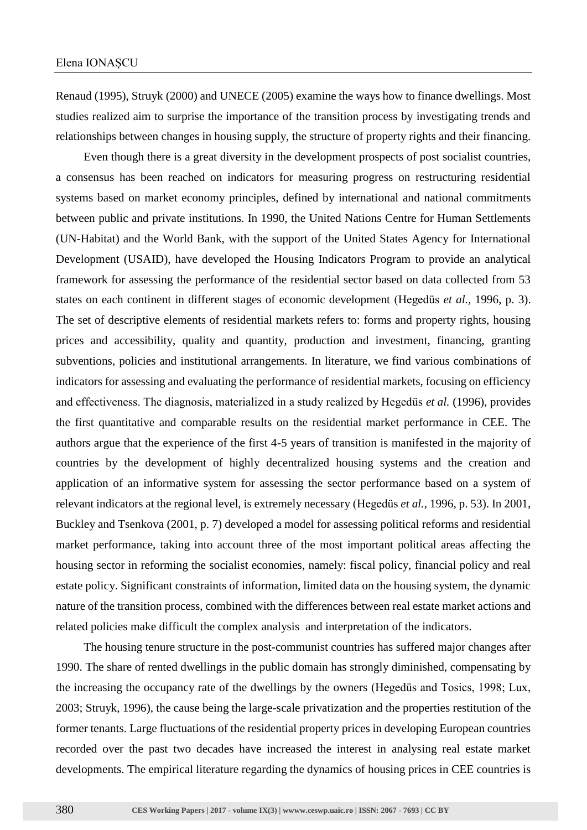Renaud (1995), Struyk (2000) and UNECE (2005) examine the ways how to finance dwellings. Most studies realized aim to surprise the importance of the transition process by investigating trends and relationships between changes in housing supply, the structure of property rights and their financing.

Even though there is a great diversity in the development prospects of post socialist countries, a consensus has been reached on indicators for measuring progress on restructuring residential systems based on market economy principles, defined by international and national commitments between public and private institutions. In 1990, the United Nations Centre for Human Settlements (UN-Habitat) and the World Bank, with the support of the United States Agency for International Development (USAID), have developed the Housing Indicators Program to provide an analytical framework for assessing the performance of the residential sector based on data collected from 53 states on each continent in different stages of economic development (Hegedüs *et al.,* 1996, p. 3). The set of descriptive elements of residential markets refers to: forms and property rights, housing prices and accessibility, quality and quantity, production and investment, financing, granting subventions, policies and institutional arrangements. In literature, we find various combinations of indicators for assessing and evaluating the performance of residential markets, focusing on efficiency and effectiveness. The diagnosis, materialized in a study realized by Hegedüs *et al.* (1996), provides the first quantitative and comparable results on the residential market performance in CEE. The authors argue that the experience of the first 4-5 years of transition is manifested in the majority of countries by the development of highly decentralized housing systems and the creation and application of an informative system for assessing the sector performance based on a system of relevant indicators at the regional level, is extremely necessary (Hegedüs *et al.,* 1996, p. 53). In 2001, Buckley and Tsenkova (2001, p. 7) developed a model for assessing political reforms and residential market performance, taking into account three of the most important political areas affecting the housing sector in reforming the socialist economies, namely: fiscal policy, financial policy and real estate policy. Significant constraints of information, limited data on the housing system, the dynamic nature of the transition process, combined with the differences between real estate market actions and related policies make difficult the complex analysis and interpretation of the indicators.

The housing tenure structure in the post-communist countries has suffered major changes after 1990. The share of rented dwellings in the public domain has strongly diminished, compensating by the increasing the occupancy rate of the dwellings by the owners (Hegedüs and Tosics, 1998; Lux, 2003; Struyk, 1996), the cause being the large-scale privatization and the properties restitution of the former tenants. Large fluctuations of the residential property prices in developing European countries recorded over the past two decades have increased the interest in analysing real estate market developments. The empirical literature regarding the dynamics of housing prices in CEE countries is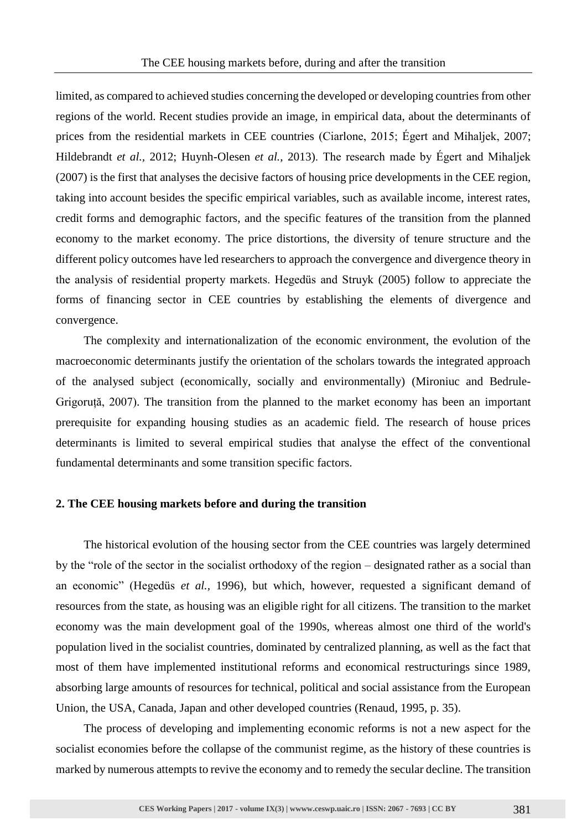limited, as compared to achieved studies concerning the developed or developing countries from other regions of the world. Recent studies provide an image, in empirical data, about the determinants of prices from the residential markets in CEE countries (Ciarlone, 2015; Égert and Mihaljek, 2007; Hildebrandt *et al.,* 2012; Huynh-Olesen *et al.,* 2013). The research made by Égert and Mihaljek (2007) is the first that analyses the decisive factors of housing price developments in the CEE region, taking into account besides the specific empirical variables, such as available income, interest rates, credit forms and demographic factors, and the specific features of the transition from the planned economy to the market economy. The price distortions, the diversity of tenure structure and the different policy outcomes have led researchers to approach the convergence and divergence theory in the analysis of residential property markets. Hegedüs and Struyk (2005) follow to appreciate the forms of financing sector in CEE countries by establishing the elements of divergence and convergence.

The complexity and internationalization of the economic environment, the evolution of the macroeconomic determinants justify the orientation of the scholars towards the integrated approach of the analysed subject (economically, socially and environmentally) (Mironiuc and Bedrule-Grigoruță, 2007). The transition from the planned to the market economy has been an important prerequisite for expanding housing studies as an academic field. The research of house prices determinants is limited to several empirical studies that analyse the effect of the conventional fundamental determinants and some transition specific factors.

#### **2. The CEE housing markets before and during the transition**

The historical evolution of the housing sector from the CEE countries was largely determined by the "role of the sector in the socialist orthodoxy of the region – designated rather as a social than an economic" (Hegedüs *et al.,* 1996), but which, however, requested a significant demand of resources from the state, as housing was an eligible right for all citizens. The transition to the market economy was the main development goal of the 1990s, whereas almost one third of the world's population lived in the socialist countries, dominated by centralized planning, as well as the fact that most of them have implemented institutional reforms and economical restructurings since 1989, absorbing large amounts of resources for technical, political and social assistance from the European Union, the USA, Canada, Japan and other developed countries (Renaud, 1995, p. 35).

The process of developing and implementing economic reforms is not a new aspect for the socialist economies before the collapse of the communist regime, as the history of these countries is marked by numerous attempts to revive the economy and to remedy the secular decline. The transition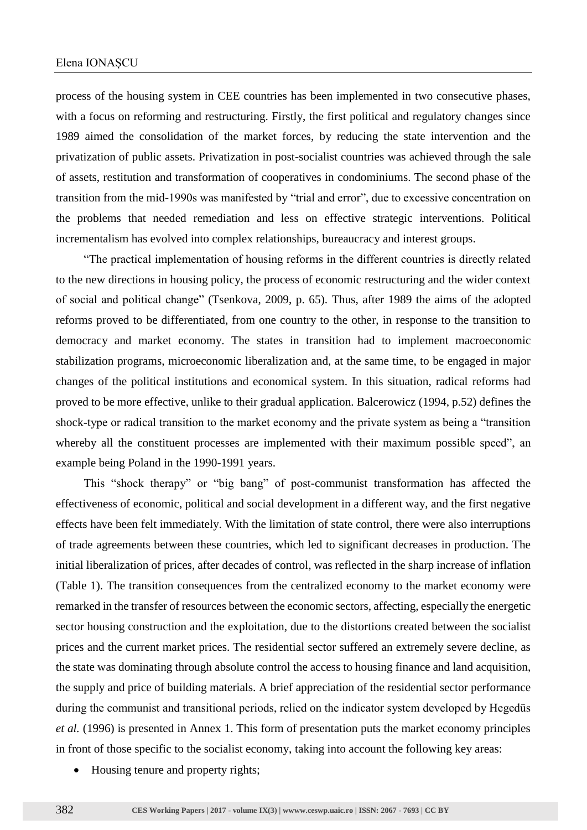process of the housing system in CEE countries has been implemented in two consecutive phases, with a focus on reforming and restructuring. Firstly, the first political and regulatory changes since 1989 aimed the consolidation of the market forces, by reducing the state intervention and the privatization of public assets. Privatization in post-socialist countries was achieved through the sale of assets, restitution and transformation of cooperatives in condominiums. The second phase of the transition from the mid-1990s was manifested by "trial and error", due to excessive concentration on the problems that needed remediation and less on effective strategic interventions. Political incrementalism has evolved into complex relationships, bureaucracy and interest groups.

"The practical implementation of housing reforms in the different countries is directly related to the new directions in housing policy, the process of economic restructuring and the wider context of social and political change" (Tsenkova, 2009, p. 65). Thus, after 1989 the aims of the adopted reforms proved to be differentiated, from one country to the other, in response to the transition to democracy and market economy. The states in transition had to implement macroeconomic stabilization programs, microeconomic liberalization and, at the same time, to be engaged in major changes of the political institutions and economical system. In this situation, radical reforms had proved to be more effective, unlike to their gradual application. Balcerowicz (1994, p.52) defines the shock-type or radical transition to the market economy and the private system as being a "transition whereby all the constituent processes are implemented with their maximum possible speed", an example being Poland in the 1990-1991 years.

This "shock therapy" or "big bang" of post-communist transformation has affected the effectiveness of economic, political and social development in a different way, and the first negative effects have been felt immediately. With the limitation of state control, there were also interruptions of trade agreements between these countries, which led to significant decreases in production. The initial liberalization of prices, after decades of control, was reflected in the sharp increase of inflation (Table 1). The transition consequences from the centralized economy to the market economy were remarked in the transfer of resources between the economic sectors, affecting, especially the energetic sector housing construction and the exploitation, due to the distortions created between the socialist prices and the current market prices. The residential sector suffered an extremely severe decline, as the state was dominating through absolute control the access to housing finance and land acquisition, the supply and price of building materials. A brief appreciation of the residential sector performance during the communist and transitional periods, relied on the indicator system developed by Hegedüs *et al.* (1996) is presented in Annex 1. This form of presentation puts the market economy principles in front of those specific to the socialist economy, taking into account the following key areas:

• Housing tenure and property rights;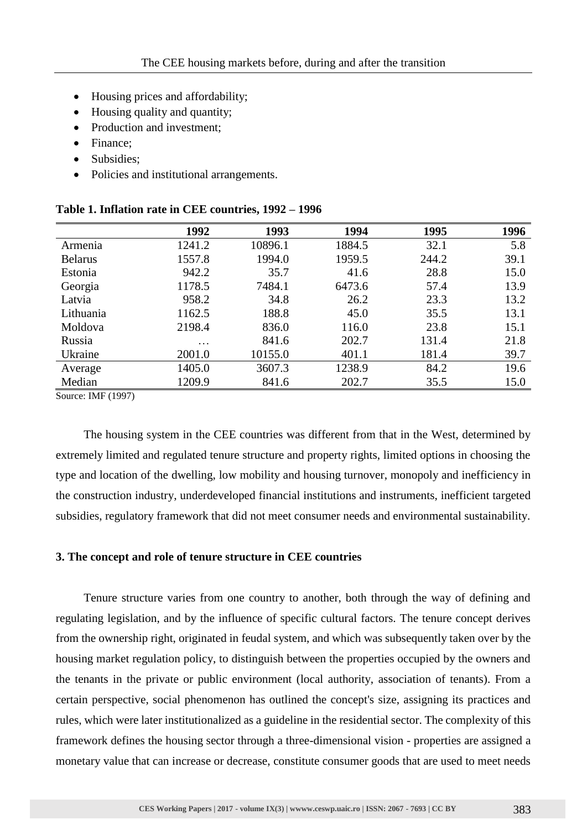- Housing prices and affordability;
- Housing quality and quantity;
- Production and investment:
- Finance:
- Subsidies:
- Policies and institutional arrangements.

|                | 1992     | 1993    | 1994   | 1995  | 1996 |
|----------------|----------|---------|--------|-------|------|
| Armenia        | 1241.2   | 10896.1 | 1884.5 | 32.1  | 5.8  |
| <b>Belarus</b> | 1557.8   | 1994.0  | 1959.5 | 244.2 | 39.1 |
| Estonia        | 942.2    | 35.7    | 41.6   | 28.8  | 15.0 |
| Georgia        | 1178.5   | 7484.1  | 6473.6 | 57.4  | 13.9 |
| Latvia         | 958.2    | 34.8    | 26.2   | 23.3  | 13.2 |
| Lithuania      | 1162.5   | 188.8   | 45.0   | 35.5  | 13.1 |
| Moldova        | 2198.4   | 836.0   | 116.0  | 23.8  | 15.1 |
| Russia         | $\cdots$ | 841.6   | 202.7  | 131.4 | 21.8 |
| Ukraine        | 2001.0   | 10155.0 | 401.1  | 181.4 | 39.7 |
| Average        | 1405.0   | 3607.3  | 1238.9 | 84.2  | 19.6 |
| Median         | 1209.9   | 841.6   | 202.7  | 35.5  | 15.0 |

#### **Table 1. Inflation rate in CEE countries, 1992 – 1996**

Source: IMF (1997)

The housing system in the CEE countries was different from that in the West, determined by extremely limited and regulated tenure structure and property rights, limited options in choosing the type and location of the dwelling, low mobility and housing turnover, monopoly and inefficiency in the construction industry, underdeveloped financial institutions and instruments, inefficient targeted subsidies, regulatory framework that did not meet consumer needs and environmental sustainability.

#### **3. The concept and role of tenure structure in CEE countries**

Tenure structure varies from one country to another, both through the way of defining and regulating legislation, and by the influence of specific cultural factors. The tenure concept derives from the ownership right, originated in feudal system, and which was subsequently taken over by the housing market regulation policy, to distinguish between the properties occupied by the owners and the tenants in the private or public environment (local authority, association of tenants). From a certain perspective, social phenomenon has outlined the concept's size, assigning its practices and rules, which were later institutionalized as a guideline in the residential sector. The complexity of this framework defines the housing sector through a three-dimensional vision - properties are assigned a monetary value that can increase or decrease, constitute consumer goods that are used to meet needs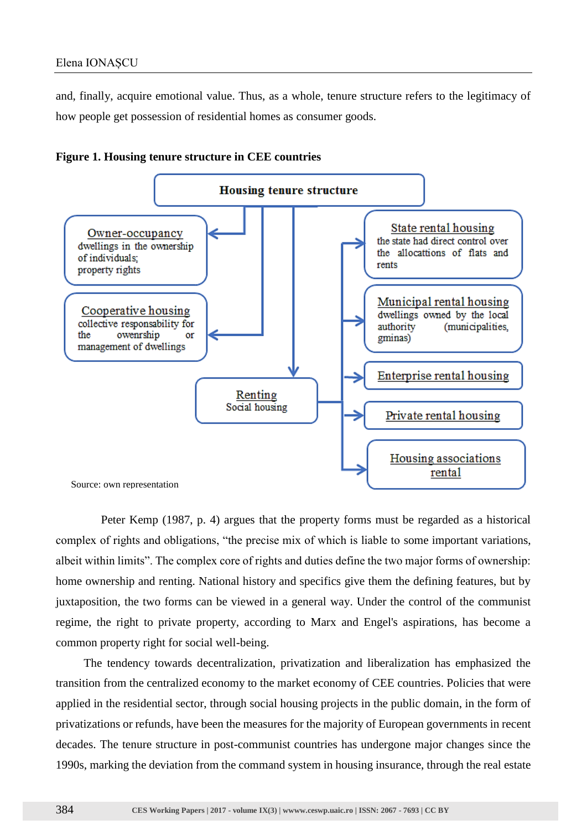and, finally, acquire emotional value. Thus, as a whole, tenure structure refers to the legitimacy of how people get possession of residential homes as consumer goods.





Peter Kemp (1987, p. 4) argues that the property forms must be regarded as a historical complex of rights and obligations, "the precise mix of which is liable to some important variations, albeit within limits". The complex core of rights and duties define the two major forms of ownership: home ownership and renting. National history and specifics give them the defining features, but by juxtaposition, the two forms can be viewed in a general way. Under the control of the communist regime, the right to private property, according to Marx and Engel's aspirations, has become a common property right for social well-being.

The tendency towards decentralization, privatization and liberalization has emphasized the transition from the centralized economy to the market economy of CEE countries. Policies that were applied in the residential sector, through social housing projects in the public domain, in the form of privatizations or refunds, have been the measures for the majority of European governments in recent decades. The tenure structure in post-communist countries has undergone major changes since the 1990s, marking the deviation from the command system in housing insurance, through the real estate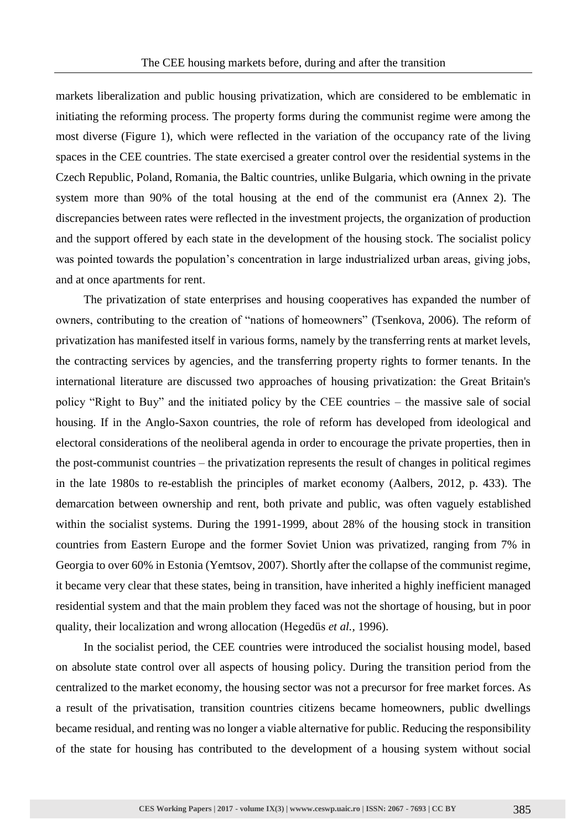markets liberalization and public housing privatization, which are considered to be emblematic in initiating the reforming process. The property forms during the communist regime were among the most diverse (Figure 1), which were reflected in the variation of the occupancy rate of the living spaces in the CEE countries. The state exercised a greater control over the residential systems in the Czech Republic, Poland, Romania, the Baltic countries, unlike Bulgaria, which owning in the private system more than 90% of the total housing at the end of the communist era (Annex 2). The discrepancies between rates were reflected in the investment projects, the organization of production and the support offered by each state in the development of the housing stock. The socialist policy was pointed towards the population's concentration in large industrialized urban areas, giving jobs, and at once apartments for rent.

The privatization of state enterprises and housing cooperatives has expanded the number of owners, contributing to the creation of "nations of homeowners" (Tsenkova, 2006). The reform of privatization has manifested itself in various forms, namely by the transferring rents at market levels, the contracting services by agencies, and the transferring property rights to former tenants. In the international literature are discussed two approaches of housing privatization: the Great Britain's policy "Right to Buy" and the initiated policy by the CEE countries – the massive sale of social housing. If in the Anglo-Saxon countries, the role of reform has developed from ideological and electoral considerations of the neoliberal agenda in order to encourage the private properties, then in the post-communist countries – the privatization represents the result of changes in political regimes in the late 1980s to re-establish the principles of market economy (Aalbers, 2012, p. 433). The demarcation between ownership and rent, both private and public, was often vaguely established within the socialist systems. During the 1991-1999, about 28% of the housing stock in transition countries from Eastern Europe and the former Soviet Union was privatized, ranging from 7% in Georgia to over 60% in Estonia (Yemtsov, 2007). Shortly after the collapse of the communist regime, it became very clear that these states, being in transition, have inherited a highly inefficient managed residential system and that the main problem they faced was not the shortage of housing, but in poor quality, their localization and wrong allocation (Hegedüs *et al.,* 1996).

In the socialist period, the CEE countries were introduced the socialist housing model, based on absolute state control over all aspects of housing policy. During the transition period from the centralized to the market economy, the housing sector was not a precursor for free market forces. As a result of the privatisation, transition countries citizens became homeowners, public dwellings became residual, and renting was no longer a viable alternative for public. Reducing the responsibility of the state for housing has contributed to the development of a housing system without social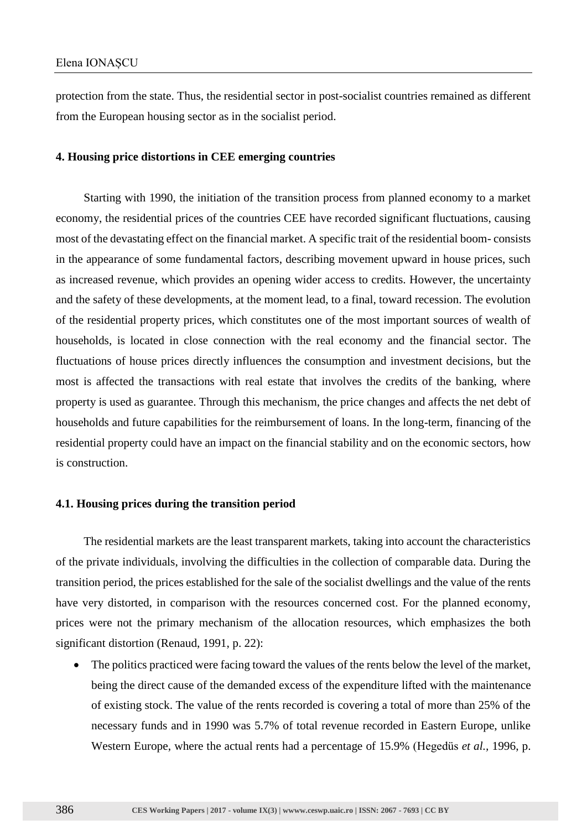protection from the state. Thus, the residential sector in post-socialist countries remained as different from the European housing sector as in the socialist period.

#### **4. Housing price distortions in CEE emerging countries**

Starting with 1990, the initiation of the transition process from planned economy to a market economy, the residential prices of the countries CEE have recorded significant fluctuations, causing most of the devastating effect on the financial market. A specific trait of the residential boom- consists in the appearance of some fundamental factors, describing movement upward in house prices, such as increased revenue, which provides an opening wider access to credits. However, the uncertainty and the safety of these developments, at the moment lead, to a final, toward recession. The evolution of the residential property prices, which constitutes one of the most important sources of wealth of households, is located in close connection with the real economy and the financial sector. The fluctuations of house prices directly influences the consumption and investment decisions, but the most is affected the transactions with real estate that involves the credits of the banking, where property is used as guarantee. Through this mechanism, the price changes and affects the net debt of households and future capabilities for the reimbursement of loans. In the long-term, financing of the residential property could have an impact on the financial stability and on the economic sectors, how is construction.

#### **4.1. Housing prices during the transition period**

The residential markets are the least transparent markets, taking into account the characteristics of the private individuals, involving the difficulties in the collection of comparable data. During the transition period, the prices established for the sale of the socialist dwellings and the value of the rents have very distorted, in comparison with the resources concerned cost. For the planned economy, prices were not the primary mechanism of the allocation resources, which emphasizes the both significant distortion (Renaud, 1991, p. 22):

• The politics practiced were facing toward the values of the rents below the level of the market, being the direct cause of the demanded excess of the expenditure lifted with the maintenance of existing stock. The value of the rents recorded is covering a total of more than 25% of the necessary funds and in 1990 was 5.7% of total revenue recorded in Eastern Europe, unlike Western Europe, where the actual rents had a percentage of 15.9% (Hegedüs *et al.,* 1996, p.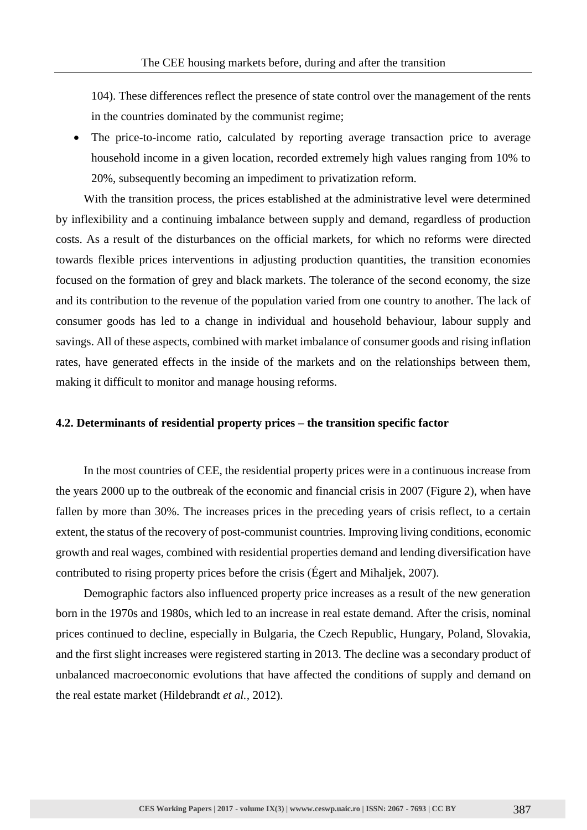104). These differences reflect the presence of state control over the management of the rents in the countries dominated by the communist regime;

• The price-to-income ratio, calculated by reporting average transaction price to average household income in a given location, recorded extremely high values ranging from 10% to 20%, subsequently becoming an impediment to privatization reform.

With the transition process, the prices established at the administrative level were determined by inflexibility and a continuing imbalance between supply and demand, regardless of production costs. As a result of the disturbances on the official markets, for which no reforms were directed towards flexible prices interventions in adjusting production quantities, the transition economies focused on the formation of grey and black markets. The tolerance of the second economy, the size and its contribution to the revenue of the population varied from one country to another. The lack of consumer goods has led to a change in individual and household behaviour, labour supply and savings. All of these aspects, combined with market imbalance of consumer goods and rising inflation rates, have generated effects in the inside of the markets and on the relationships between them, making it difficult to monitor and manage housing reforms.

#### **4.2. Determinants of residential property prices – the transition specific factor**

In the most countries of CEE, the residential property prices were in a continuous increase from the years 2000 up to the outbreak of the economic and financial crisis in 2007 (Figure 2), when have fallen by more than 30%. The increases prices in the preceding years of crisis reflect, to a certain extent, the status of the recovery of post-communist countries. Improving living conditions, economic growth and real wages, combined with residential properties demand and lending diversification have contributed to rising property prices before the crisis (Égert and Mihaljek, 2007).

Demographic factors also influenced property price increases as a result of the new generation born in the 1970s and 1980s, which led to an increase in real estate demand. After the crisis, nominal prices continued to decline, especially in Bulgaria, the Czech Republic, Hungary, Poland, Slovakia, and the first slight increases were registered starting in 2013. The decline was a secondary product of unbalanced macroeconomic evolutions that have affected the conditions of supply and demand on the real estate market (Hildebrandt *et al.,* 2012).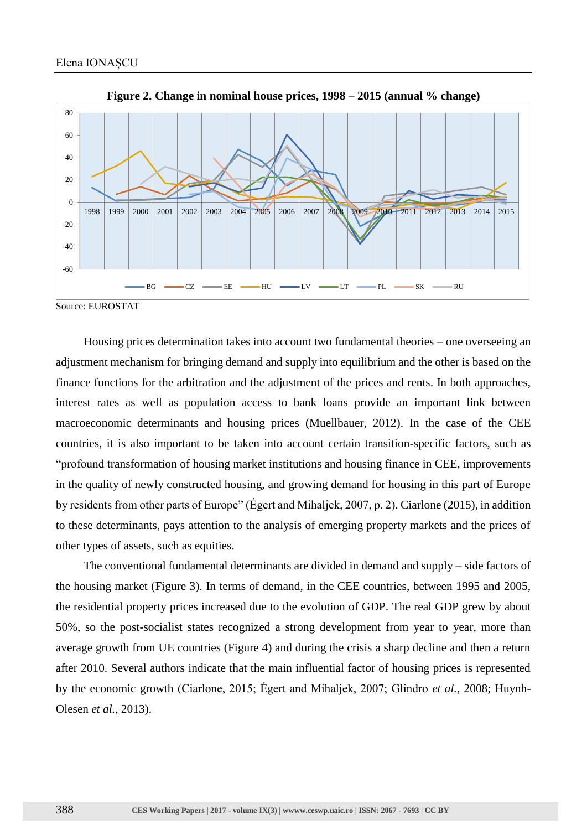

**Figure 2. Change in nominal house prices, 1998 – 2015 (annual % change)**

Source: EUROSTAT

Housing prices determination takes into account two fundamental theories – one overseeing an adjustment mechanism for bringing demand and supply into equilibrium and the other is based on the finance functions for the arbitration and the adjustment of the prices and rents. In both approaches, interest rates as well as population access to bank loans provide an important link between macroeconomic determinants and housing prices (Muellbauer, 2012). In the case of the CEE countries, it is also important to be taken into account certain transition-specific factors, such as "profound transformation of housing market institutions and housing finance in CEE, improvements in the quality of newly constructed housing, and growing demand for housing in this part of Europe by residents from other parts of Europe" (Égert and Mihaljek, 2007, p. 2). Ciarlone (2015), in addition to these determinants, pays attention to the analysis of emerging property markets and the prices of other types of assets, such as equities.

The conventional fundamental determinants are divided in demand and supply – side factors of the housing market (Figure 3). In terms of demand, in the CEE countries, between 1995 and 2005, the residential property prices increased due to the evolution of GDP. The real GDP grew by about 50%, so the post-socialist states recognized a strong development from year to year, more than average growth from UE countries (Figure 4) and during the crisis a sharp decline and then a return after 2010. Several authors indicate that the main influential factor of housing prices is represented by the economic growth (Ciarlone, 2015; Égert and Mihaljek, 2007; Glindro *et al.*, 2008; Huynh-Olesen *et al.*, 2013).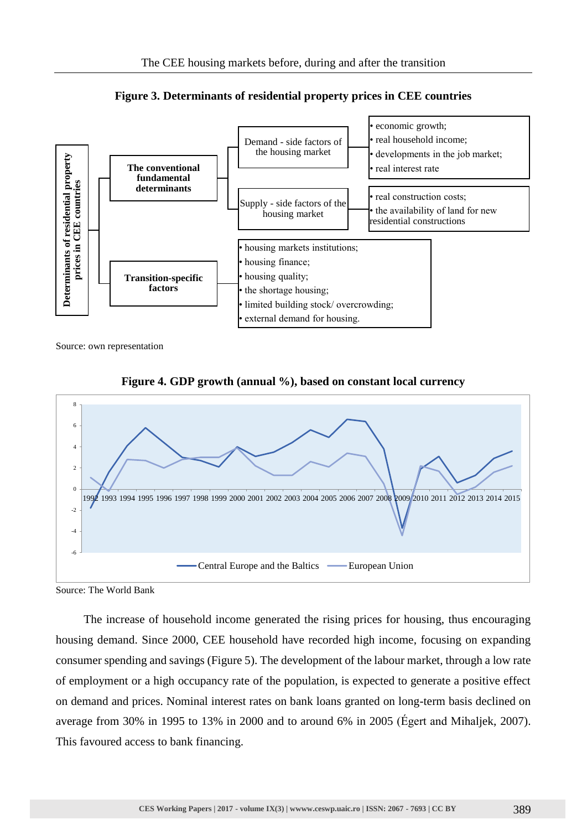

**Figure 3. Determinants of residential property prices in CEE countries**

Source: own representation



**Figure 4. GDP growth (annual %), based on constant local currency**

Source: The World Bank

The increase of household income generated the rising prices for housing, thus encouraging housing demand. Since 2000, CEE household have recorded high income, focusing on expanding consumer spending and savings (Figure 5). The development of the labour market, through a low rate of employment or a high occupancy rate of the population, is expected to generate a positive effect on demand and prices. Nominal interest rates on bank loans granted on long-term basis declined on average from 30% in 1995 to 13% in 2000 and to around 6% in 2005 (Égert and Mihaljek, 2007).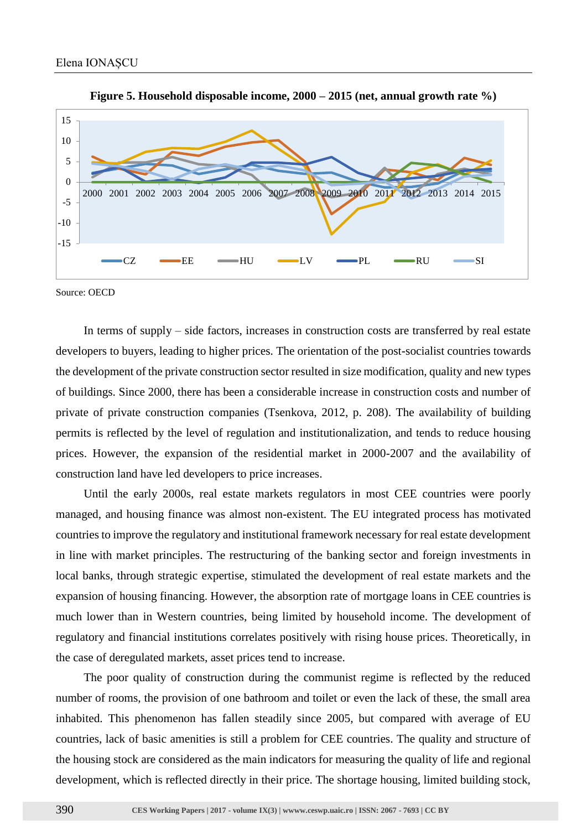



Source: OECD

In terms of supply – side factors, increases in construction costs are transferred by real estate developers to buyers, leading to higher prices. The orientation of the post-socialist countries towards the development of the private construction sector resulted in size modification, quality and new types of buildings. Since 2000, there has been a considerable increase in construction costs and number of private of private construction companies (Tsenkova, 2012, p. 208). The availability of building permits is reflected by the level of regulation and institutionalization, and tends to reduce housing prices. However, the expansion of the residential market in 2000-2007 and the availability of construction land have led developers to price increases.

Until the early 2000s, real estate markets regulators in most CEE countries were poorly managed, and housing finance was almost non-existent. The EU integrated process has motivated countries to improve the regulatory and institutional framework necessary for real estate development in line with market principles. The restructuring of the banking sector and foreign investments in local banks, through strategic expertise, stimulated the development of real estate markets and the expansion of housing financing. However, the absorption rate of mortgage loans in CEE countries is much lower than in Western countries, being limited by household income. The development of regulatory and financial institutions correlates positively with rising house prices. Theoretically, in the case of deregulated markets, asset prices tend to increase.

The poor quality of construction during the communist regime is reflected by the reduced number of rooms, the provision of one bathroom and toilet or even the lack of these, the small area inhabited. This phenomenon has fallen steadily since 2005, but compared with average of EU countries, lack of basic amenities is still a problem for CEE countries. The quality and structure of the housing stock are considered as the main indicators for measuring the quality of life and regional development, which is reflected directly in their price. The shortage housing, limited building stock,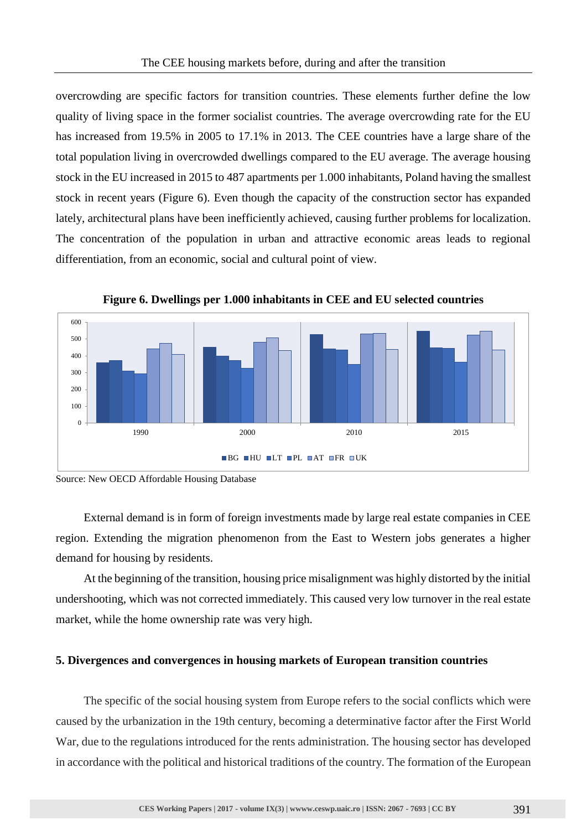overcrowding are specific factors for transition countries. These elements further define the low quality of living space in the former socialist countries. The average overcrowding rate for the EU has increased from 19.5% in 2005 to 17.1% in 2013. The CEE countries have a large share of the total population living in overcrowded dwellings compared to the EU average. The average housing stock in the EU increased in 2015 to 487 apartments per 1.000 inhabitants, Poland having the smallest stock in recent years (Figure 6). Even though the capacity of the construction sector has expanded lately, architectural plans have been inefficiently achieved, causing further problems for localization. The concentration of the population in urban and attractive economic areas leads to regional differentiation, from an economic, social and cultural point of view.



**Figure 6. Dwellings per 1.000 inhabitants in CEE and EU selected countries**

External demand is in form of foreign investments made by large real estate companies in CEE region. Extending the migration phenomenon from the East to Western jobs generates a higher demand for housing by residents.

At the beginning of the transition, housing price misalignment was highly distorted by the initial undershooting, which was not corrected immediately. This caused very low turnover in the real estate market, while the home ownership rate was very high.

#### **5. Divergences and convergences in housing markets of European transition countries**

The specific of the social housing system from Europe refers to the social conflicts which were caused by the urbanization in the 19th century, becoming a determinative factor after the First World War, due to the regulations introduced for the rents administration. The housing sector has developed in accordance with the political and historical traditions of the country. The formation of the European

Source: New OECD Affordable Housing Database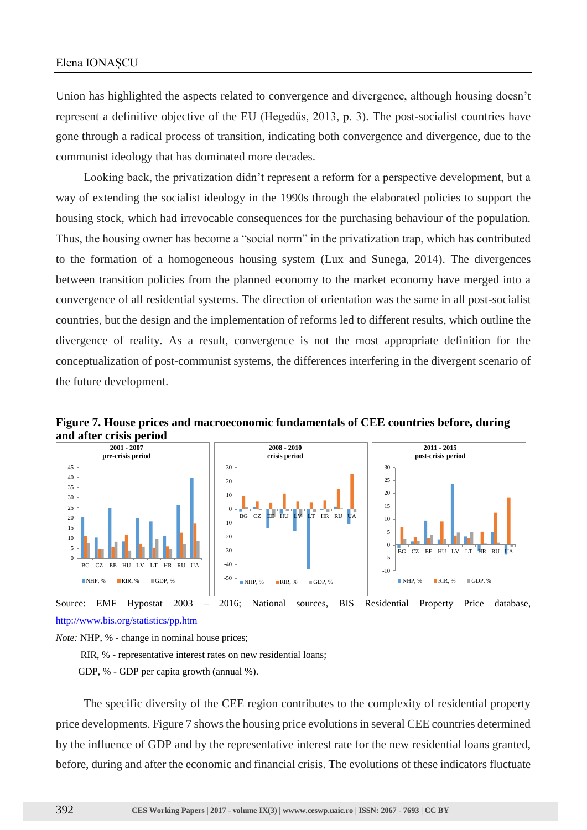Union has highlighted the aspects related to convergence and divergence, although housing doesn't represent a definitive objective of the EU (Hegedüs, 2013, p. 3). The post-socialist countries have gone through a radical process of transition, indicating both convergence and divergence, due to the communist ideology that has dominated more decades.

Looking back, the privatization didn't represent a reform for a perspective development, but a way of extending the socialist ideology in the 1990s through the elaborated policies to support the housing stock, which had irrevocable consequences for the purchasing behaviour of the population. Thus, the housing owner has become a "social norm" in the privatization trap, which has contributed to the formation of a homogeneous housing system (Lux and Sunega, 2014). The divergences between transition policies from the planned economy to the market economy have merged into a convergence of all residential systems. The direction of orientation was the same in all post-socialist countries, but the design and the implementation of reforms led to different results, which outline the divergence of reality. As a result, convergence is not the most appropriate definition for the conceptualization of post-communist systems, the differences interfering in the divergent scenario of the future development.



**Figure 7. House prices and macroeconomic fundamentals of CEE countries before, during and after crisis period**

<http://www.bis.org/statistics/pp.htm>

*Note:* NHP, % - change in nominal house prices;

RIR, % - representative interest rates on new residential loans;

GDP, % - GDP per capita growth (annual %).

The specific diversity of the CEE region contributes to the complexity of residential property price developments. Figure 7 shows the housing price evolutions in several CEE countries determined by the influence of GDP and by the representative interest rate for the new residential loans granted, before, during and after the economic and financial crisis. The evolutions of these indicators fluctuate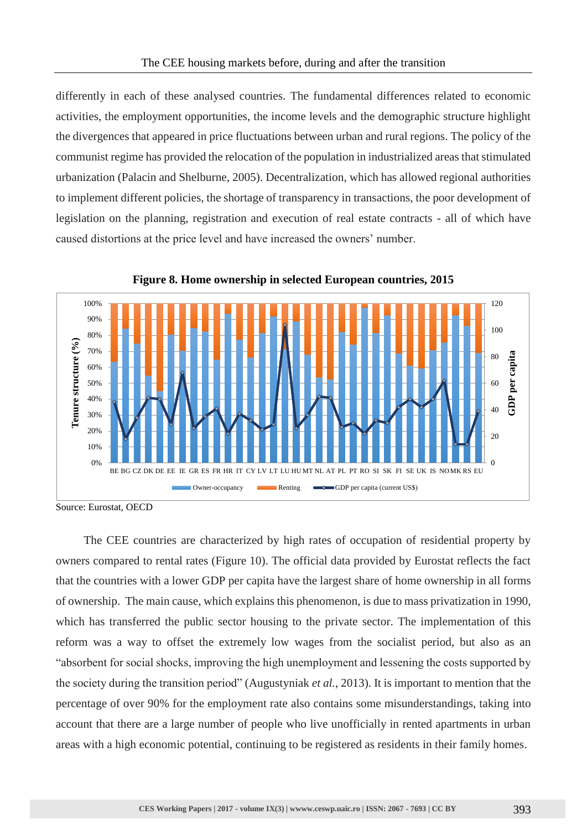differently in each of these analysed countries. The fundamental differences related to economic activities, the employment opportunities, the income levels and the demographic structure highlight the divergences that appeared in price fluctuations between urban and rural regions. The policy of the communist regime has provided the relocation of the population in industrialized areas that stimulated urbanization (Palacin and Shelburne, 2005). Decentralization, which has allowed regional authorities to implement different policies, the shortage of transparency in transactions, the poor development of legislation on the planning, registration and execution of real estate contracts - all of which have caused distortions at the price level and have increased the owners' number.





The CEE countries are characterized by high rates of occupation of residential property by owners compared to rental rates (Figure 10). The official data provided by Eurostat reflects the fact that the countries with a lower GDP per capita have the largest share of home ownership in all forms of ownership. The main cause, which explains this phenomenon, is due to mass privatization in 1990, which has transferred the public sector housing to the private sector. The implementation of this reform was a way to offset the extremely low wages from the socialist period, but also as an "absorbent for social shocks, improving the high unemployment and lessening the costs supported by the society during the transition period" (Augustyniak *et al.*, 2013). It is important to mention that the percentage of over 90% for the employment rate also contains some misunderstandings, taking into account that there are a large number of people who live unofficially in rented apartments in urban areas with a high economic potential, continuing to be registered as residents in their family homes.

Source: Eurostat, OECD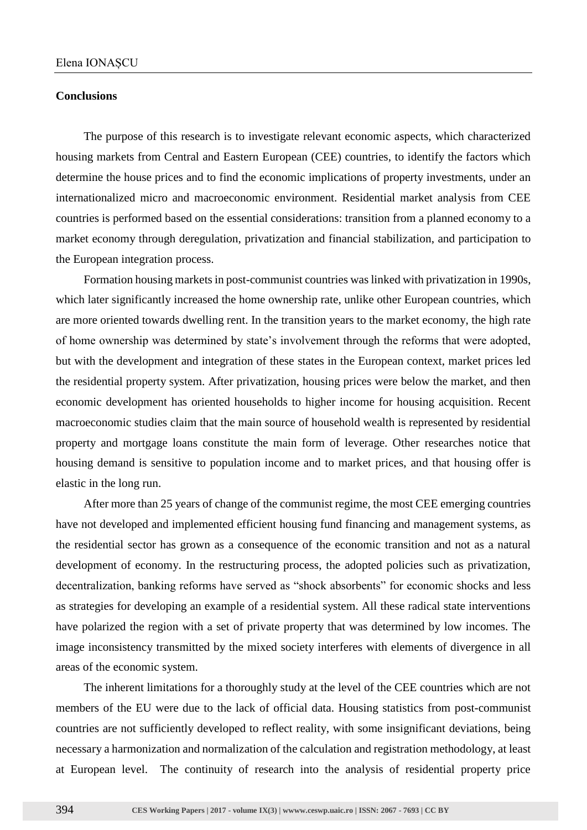#### **Conclusions**

The purpose of this research is to investigate relevant economic aspects, which characterized housing markets from Central and Eastern European (CEE) countries, to identify the factors which determine the house prices and to find the economic implications of property investments, under an internationalized micro and macroeconomic environment. Residential market analysis from CEE countries is performed based on the essential considerations: transition from a planned economy to a market economy through deregulation, privatization and financial stabilization, and participation to the European integration process.

Formation housing markets in post-communist countries was linked with privatization in 1990s, which later significantly increased the home ownership rate, unlike other European countries, which are more oriented towards dwelling rent. In the transition years to the market economy, the high rate of home ownership was determined by state's involvement through the reforms that were adopted, but with the development and integration of these states in the European context, market prices led the residential property system. After privatization, housing prices were below the market, and then economic development has oriented households to higher income for housing acquisition. Recent macroeconomic studies claim that the main source of household wealth is represented by residential property and mortgage loans constitute the main form of leverage. Other researches notice that housing demand is sensitive to population income and to market prices, and that housing offer is elastic in the long run.

After more than 25 years of change of the communist regime, the most CEE emerging countries have not developed and implemented efficient housing fund financing and management systems, as the residential sector has grown as a consequence of the economic transition and not as a natural development of economy. In the restructuring process, the adopted policies such as privatization, decentralization, banking reforms have served as "shock absorbents" for economic shocks and less as strategies for developing an example of a residential system. All these radical state interventions have polarized the region with a set of private property that was determined by low incomes. The image inconsistency transmitted by the mixed society interferes with elements of divergence in all areas of the economic system.

The inherent limitations for a thoroughly study at the level of the CEE countries which are not members of the EU were due to the lack of official data. Housing statistics from post-communist countries are not sufficiently developed to reflect reality, with some insignificant deviations, being necessary a harmonization and normalization of the calculation and registration methodology, at least at European level. The continuity of research into the analysis of residential property price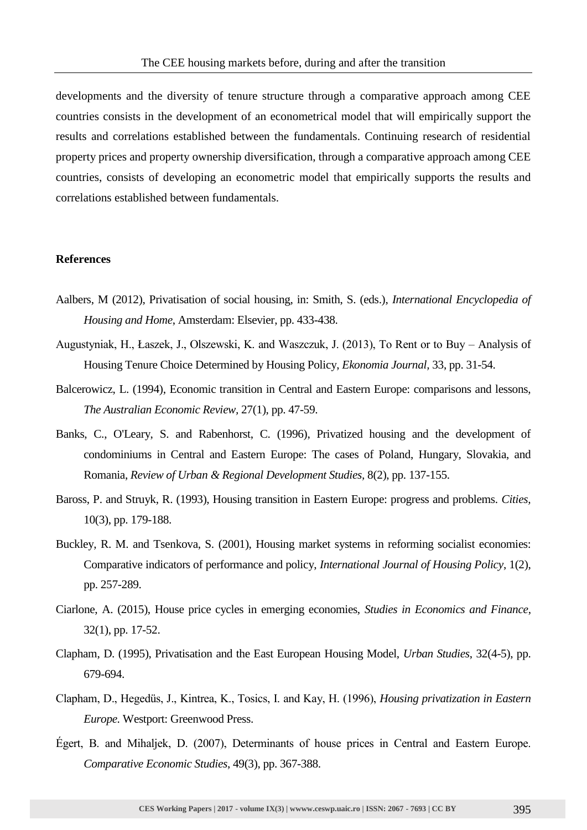developments and the diversity of tenure structure through a comparative approach among CEE countries consists in the development of an econometrical model that will empirically support the results and correlations established between the fundamentals. Continuing research of residential property prices and property ownership diversification, through a comparative approach among CEE countries, consists of developing an econometric model that empirically supports the results and correlations established between fundamentals.

#### **References**

- Aalbers, M (2012), Privatisation of social housing, in: Smith, S. (eds.), *International Encyclopedia of Housing and Home*, Amsterdam: Elsevier, pp. 433-438.
- Augustyniak, H., Łaszek, J., Olszewski, K. and Waszczuk, J. (2013), To Rent or to Buy Analysis of Housing Tenure Choice Determined by Housing Policy, *Ekonomia Journal,* 33, pp. 31-54.
- Balcerowicz, L. (1994), Economic transition in Central and Eastern Europe: comparisons and lessons, *The Australian Economic Review,* 27(1), pp. 47-59.
- Banks, C., O'Leary, S. and Rabenhorst, C. (1996), Privatized housing and the development of condominiums in Central and Eastern Europe: The cases of Poland, Hungary, Slovakia, and Romania, *Review of Urban & Regional Development Studies,* 8(2), pp. 137-155.
- Baross, P. and Struyk, R. (1993), Housing transition in Eastern Europe: progress and problems. *Cities,*  10(3), pp. 179-188.
- Buckley, R. M. and Tsenkova, S. (2001), Housing market systems in reforming socialist economies: Comparative indicators of performance and policy, *International Journal of Housing Policy*, 1(2), pp. 257-289.
- Ciarlone, A. (2015), House price cycles in emerging economies, *Studies in Economics and Finance*, 32(1), pp. 17-52.
- Clapham, D. (1995), Privatisation and the East European Housing Model, *Urban Studies*, 32(4-5), pp. 679-694.
- Clapham, D., Hegedüs, J., Kintrea, K., Tosics, I. and Kay, H. (1996), *Housing privatization in Eastern Europe.* Westport: Greenwood Press.
- Égert, B. and Mihaljek, D. (2007), Determinants of house prices in Central and Eastern Europe. *Comparative Economic Studies*, 49(3), pp. 367-388.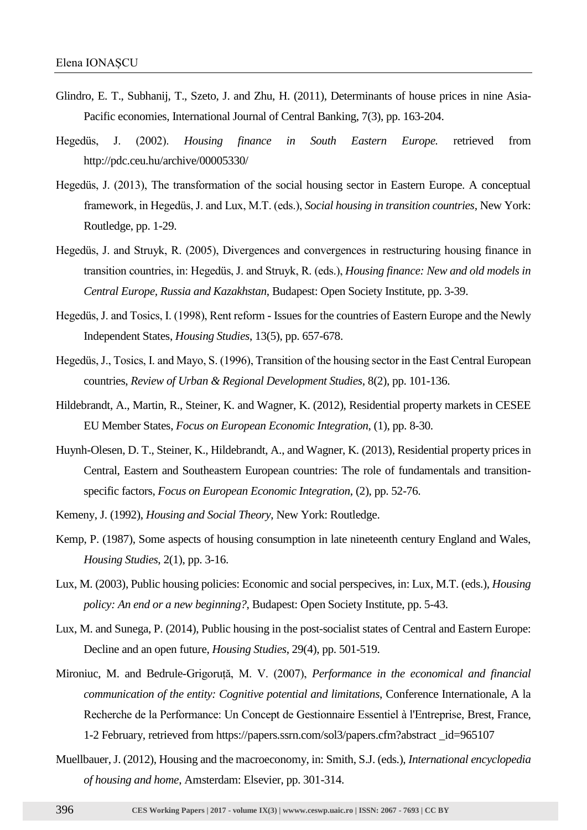- Glindro, E. T., Subhanij, T., Szeto, J. and Zhu, H. (2011), Determinants of house prices in nine Asia-Pacific economies, International Journal of Central Banking, 7(3), pp. 163-204.
- Hegedüs, J. (2002). *Housing finance in South Eastern Europe.* retrieved from http://pdc.ceu.hu/archive/00005330/
- Hegedüs, J. (2013), The transformation of the social housing sector in Eastern Europe. A conceptual framework, in Hegedüs, J. and Lux, M.T. (eds.), *Social housing in transition countries*, New York: Routledge, pp. 1-29.
- Hegedüs, J. and Struyk, R. (2005), Divergences and convergences in restructuring housing finance in transition countries, in: Hegedüs, J. and Struyk, R. (eds.), *Housing finance: New and old models in Central Europe, Russia and Kazakhstan*, Budapest: Open Society Institute, pp. 3-39.
- Hegedüs, J. and Tosics, I. (1998), Rent reform Issues for the countries of Eastern Europe and the Newly Independent States, *Housing Studies*, 13(5), pp. 657-678.
- Hegedüs, J., Tosics, I. and Mayo, S. (1996), Transition of the housing sector in the East Central European countries, *Review of Urban & Regional Development Studies*, 8(2), pp. 101-136.
- Hildebrandt, A., Martin, R., Steiner, K. and Wagner, K. (2012), Residential property markets in CESEE EU Member States, *Focus on European Economic Integration*, (1), pp. 8-30.
- Huynh-Olesen, D. T., Steiner, K., Hildebrandt, A., and Wagner, K. (2013), Residential property prices in Central, Eastern and Southeastern European countries: The role of fundamentals and transitionspecific factors, *Focus on European Economic Integration*, (2), pp. 52-76.
- Kemeny, J. (1992), *Housing and Social Theory*, New York: Routledge.
- Kemp, P. (1987), Some aspects of housing consumption in late nineteenth century England and Wales, *Housing Studies*, 2(1), pp. 3-16.
- Lux, M. (2003), Public housing policies: Economic and social perspecives, in: Lux, M.T. (eds.), *Housing policy: An end or a new beginning?*, Budapest: Open Society Institute, pp. 5-43.
- Lux, M. and Sunega, P. (2014), Public housing in the post-socialist states of Central and Eastern Europe: Decline and an open future, *Housing Studies*, 29(4), pp. 501-519.
- Mironiuc, M. and Bedrule-Grigoruță, M. V. (2007), *Performance in the economical and financial communication of the entity: Cognitive potential and limitations*, Conference Internationale, A la Recherche de la Performance: Un Concept de Gestionnaire Essentiel à l'Entreprise, Brest, France, 1-2 February, retrieved from https://papers.ssrn.com/sol3/papers.cfm?abstract \_id=965107
- Muellbauer, J. (2012), Housing and the macroeconomy, in: Smith, S.J. (eds.), *International encyclopedia of housing and home*, Amsterdam: Elsevier, pp. 301-314.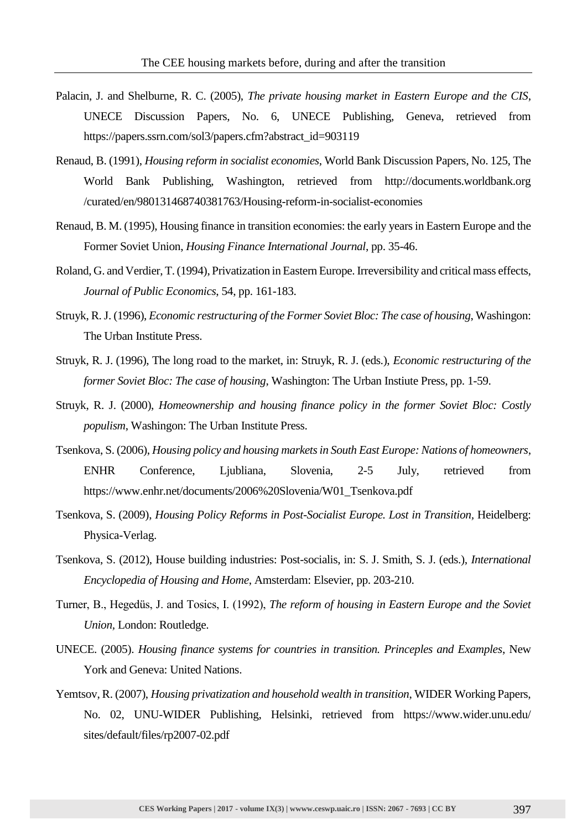- Palacin, J. and Shelburne, R. C. (2005), *The private housing market in Eastern Europe and the CIS*, UNECE Discussion Papers, No. 6, UNECE Publishing, Geneva, retrieved from https://papers.ssrn.com/sol3/papers.cfm?abstract\_id=903119
- Renaud, B. (1991), *Housing reform in socialist economies*, World Bank Discussion Papers, No. 125, The World Bank Publishing, Washington, retrieved from http://documents.worldbank.org /curated/en/980131468740381763/Housing-reform-in-socialist-economies
- Renaud, B. M. (1995), Housing finance in transition economies: the early years in Eastern Europe and the Former Soviet Union, *Housing Finance International Journal*, pp. 35-46.
- Roland, G. and Verdier, T. (1994), Privatization in Eastern Europe. Irreversibility and critical mass effects, *Journal of Public Economics*, 54, pp. 161-183.
- Struyk, R. J. (1996), *Economic restructuring of the Former Soviet Bloc: The case of housing*, Washingon: The Urban Institute Press.
- Struyk, R. J. (1996), The long road to the market, in: Struyk, R. J. (eds.), *Economic restructuring of the former Soviet Bloc: The case of housing*, Washington: The Urban Instiute Press, pp. 1-59.
- Struyk, R. J. (2000), *Homeownership and housing finance policy in the former Soviet Bloc: Costly populism*, Washingon: The Urban Institute Press.
- Tsenkova, S. (2006), *Housing policy and housing markets in South East Europe: Nations of homeowners*, ENHR Conference, Ljubliana, Slovenia, 2-5 July, retrieved from https://www.enhr.net/documents/2006%20Slovenia/W01\_Tsenkova.pdf
- Tsenkova, S. (2009), *Housing Policy Reforms in Post-Socialist Europe. Lost in Transition,* Heidelberg: Physica-Verlag.
- Tsenkova, S. (2012), House building industries: Post-socialis, in: S. J. Smith, S. J. (eds.), *International Encyclopedia of Housing and Home*, Amsterdam: Elsevier, pp. 203-210.
- Turner, B., Hegedüs, J. and Tosics, I. (1992), *The reform of housing in Eastern Europe and the Soviet Union,* London: Routledge.
- UNECE. (2005). *Housing finance systems for countries in transition. Princeples and Examples*, New York and Geneva: United Nations.
- Yemtsov, R. (2007), *Housing privatization and household wealth in transition*, WIDER Working Papers, No. 02, UNU-WIDER Publishing, Helsinki, retrieved from https://www.wider.unu.edu/ sites/default/files/rp2007-02.pdf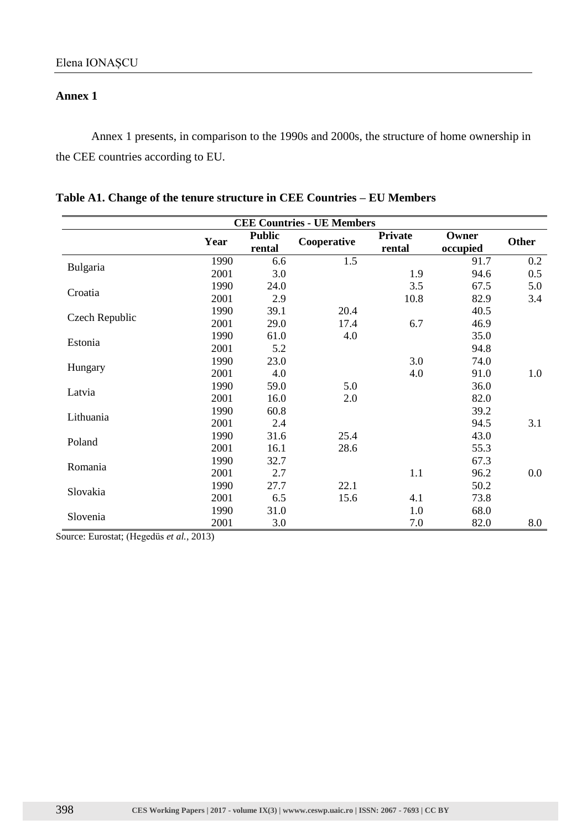### **Annex 1**

Annex 1 presents, in comparison to the 1990s and 2000s, the structure of home ownership in the CEE countries according to EU.

|  |  | Table A1. Change of the tenure structure in CEE Countries – EU Members |  |  |  |
|--|--|------------------------------------------------------------------------|--|--|--|
|--|--|------------------------------------------------------------------------|--|--|--|

| <b>CEE Countries - UE Members</b> |      |                         |             |                          |                   |              |
|-----------------------------------|------|-------------------------|-------------|--------------------------|-------------------|--------------|
|                                   | Year | <b>Public</b><br>rental | Cooperative | <b>Private</b><br>rental | Owner<br>occupied | <b>Other</b> |
|                                   | 1990 | 6.6                     | 1.5         |                          | 91.7              | 0.2          |
| Bulgaria                          | 2001 | 3.0                     |             | 1.9                      | 94.6              | 0.5          |
|                                   | 1990 | 24.0                    |             | 3.5                      | 67.5              | 5.0          |
| Croatia                           | 2001 | 2.9                     |             | 10.8                     | 82.9              | 3.4          |
|                                   | 1990 | 39.1                    | 20.4        |                          | 40.5              |              |
| Czech Republic                    | 2001 | 29.0                    | 17.4        | 6.7                      | 46.9              |              |
|                                   | 1990 | 61.0                    | 4.0         |                          | 35.0              |              |
| Estonia                           | 2001 | 5.2                     |             |                          | 94.8              |              |
|                                   | 1990 | 23.0                    |             | 3.0                      | 74.0              |              |
| Hungary                           | 2001 | 4.0                     |             | 4.0                      | 91.0              | 1.0          |
|                                   | 1990 | 59.0                    | 5.0         |                          | 36.0              |              |
| Latvia                            | 2001 | 16.0                    | 2.0         |                          | 82.0              |              |
|                                   | 1990 | 60.8                    |             |                          | 39.2              |              |
| Lithuania                         | 2001 | 2.4                     |             |                          | 94.5              | 3.1          |
|                                   | 1990 | 31.6                    | 25.4        |                          | 43.0              |              |
| Poland                            | 2001 | 16.1                    | 28.6        |                          | 55.3              |              |
|                                   | 1990 | 32.7                    |             |                          | 67.3              |              |
| Romania                           | 2001 | 2.7                     |             | 1.1                      | 96.2              | 0.0          |
|                                   | 1990 | 27.7                    | 22.1        |                          | 50.2              |              |
| Slovakia                          | 2001 | 6.5                     | 15.6        | 4.1                      | 73.8              |              |
|                                   | 1990 | 31.0                    |             | 1.0                      | 68.0              |              |
| Slovenia                          | 2001 | 3.0                     |             | 7.0                      | 82.0              | 8.0          |

Source: Eurostat; (Hegedüs *et al.*, 2013)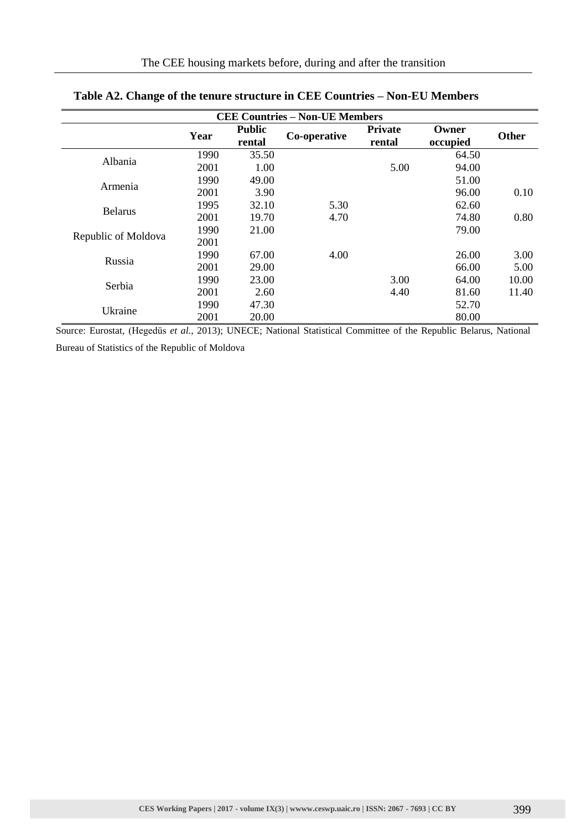| <b>CEE Countries - Non-UE Members</b> |      |                         |              |                          |                   |              |
|---------------------------------------|------|-------------------------|--------------|--------------------------|-------------------|--------------|
|                                       | Year | <b>Public</b><br>rental | Co-operative | <b>Private</b><br>rental | Owner<br>occupied | <b>Other</b> |
| Albania                               | 1990 | 35.50                   |              |                          | 64.50             |              |
|                                       | 2001 | 1.00                    |              | 5.00                     | 94.00             |              |
| Armenia                               | 1990 | 49.00                   |              |                          | 51.00             |              |
|                                       | 2001 | 3.90                    |              |                          | 96.00             | 0.10         |
| <b>Belarus</b>                        | 1995 | 32.10                   | 5.30         |                          | 62.60             |              |
|                                       | 2001 | 19.70                   | 4.70         |                          | 74.80             | 0.80         |
|                                       | 1990 | 21.00                   |              |                          | 79.00             |              |
| Republic of Moldova                   | 2001 |                         |              |                          |                   |              |
|                                       | 1990 | 67.00                   | 4.00         |                          | 26.00             | 3.00         |
| Russia                                | 2001 | 29.00                   |              |                          | 66.00             | 5.00         |
| Serbia                                | 1990 | 23.00                   |              | 3.00                     | 64.00             | 10.00        |
|                                       | 2001 | 2.60                    |              | 4.40                     | 81.60             | 11.40        |
| Ukraine                               | 1990 | 47.30                   |              |                          | 52.70             |              |
|                                       | 2001 | 20.00                   |              |                          | 80.00             |              |

# **Table A2. Change of the tenure structure in CEE Countries – Non-EU Members**

Source: Eurostat, (Hegedüs *et al.*, 2013); UNECE; National Statistical Committee of the Republic Belarus, National Bureau of Statistics of the Republic of Moldova